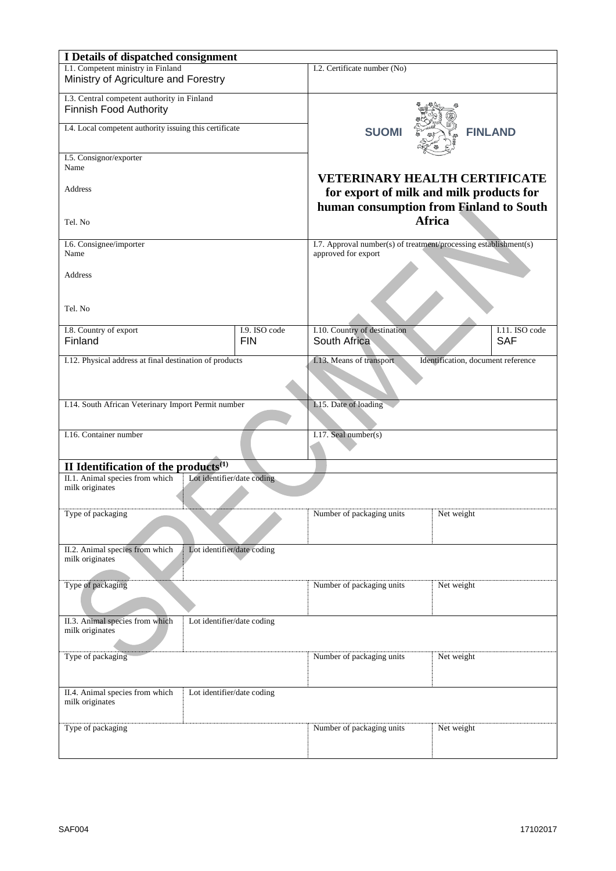| I Details of dispatched consignment                           |                            |                                                                  |                                         |  |  |  |
|---------------------------------------------------------------|----------------------------|------------------------------------------------------------------|-----------------------------------------|--|--|--|
| I.1. Competent ministry in Finland                            |                            | I.2. Certificate number (No)                                     |                                         |  |  |  |
| Ministry of Agriculture and Forestry                          |                            |                                                                  |                                         |  |  |  |
| I.3. Central competent authority in Finland                   |                            |                                                                  |                                         |  |  |  |
| Finnish Food Authority                                        |                            |                                                                  |                                         |  |  |  |
| I.4. Local competent authority issuing this certificate       |                            |                                                                  |                                         |  |  |  |
|                                                               |                            | <b>SUOMI</b>                                                     | <b>FINLAND</b>                          |  |  |  |
|                                                               |                            |                                                                  |                                         |  |  |  |
| I.5. Consignor/exporter<br>Name                               |                            |                                                                  |                                         |  |  |  |
|                                                               |                            | <b>VETERINARY HEALTH CERTIFICATE</b>                             |                                         |  |  |  |
| Address                                                       |                            | for export of milk and milk products for                         |                                         |  |  |  |
|                                                               |                            |                                                                  | human consumption from Finland to South |  |  |  |
|                                                               |                            | <b>Africa</b>                                                    |                                         |  |  |  |
| Tel. No                                                       |                            |                                                                  |                                         |  |  |  |
| I.6. Consignee/importer                                       |                            | I.7. Approval number(s) of treatment/processing establishment(s) |                                         |  |  |  |
| Name                                                          |                            | approved for export                                              |                                         |  |  |  |
|                                                               |                            |                                                                  |                                         |  |  |  |
| <b>Address</b>                                                |                            |                                                                  |                                         |  |  |  |
|                                                               |                            |                                                                  |                                         |  |  |  |
| Tel. No                                                       |                            |                                                                  |                                         |  |  |  |
|                                                               |                            |                                                                  |                                         |  |  |  |
| I.8. Country of export                                        | I.9. ISO code              | I.10. Country of destination                                     | I.11. ISO code                          |  |  |  |
| Finland                                                       | <b>FIN</b>                 | South Africa                                                     | <b>SAF</b>                              |  |  |  |
| I.12. Physical address at final destination of products       |                            | I.13. Means of transport                                         | Identification, document reference      |  |  |  |
|                                                               |                            |                                                                  |                                         |  |  |  |
|                                                               |                            |                                                                  |                                         |  |  |  |
|                                                               |                            |                                                                  |                                         |  |  |  |
| I.14. South African Veterinary Import Permit number           |                            | I.15. Date of loading                                            |                                         |  |  |  |
|                                                               |                            |                                                                  |                                         |  |  |  |
| I.16. Container number                                        |                            | I.17. Seal number(s)                                             |                                         |  |  |  |
|                                                               |                            |                                                                  |                                         |  |  |  |
| II Identification of the products <sup>(1)</sup>              |                            |                                                                  |                                         |  |  |  |
| II.1. Animal species from which<br>Lot identifier/date coding |                            |                                                                  |                                         |  |  |  |
| milk originates                                               |                            |                                                                  |                                         |  |  |  |
|                                                               |                            |                                                                  |                                         |  |  |  |
| Type of packaging                                             |                            | Number of packaging units                                        | Net weight                              |  |  |  |
|                                                               |                            |                                                                  |                                         |  |  |  |
| II.2. Animal species from which                               | Lot identifier/date coding |                                                                  |                                         |  |  |  |
| milk originates                                               |                            |                                                                  |                                         |  |  |  |
|                                                               |                            |                                                                  |                                         |  |  |  |
| Type of packaging                                             |                            | Number of packaging units                                        | Net weight                              |  |  |  |
|                                                               |                            |                                                                  |                                         |  |  |  |
|                                                               |                            |                                                                  |                                         |  |  |  |
| II.3. Animal species from which                               | Lot identifier/date coding |                                                                  |                                         |  |  |  |
| milk originates                                               |                            |                                                                  |                                         |  |  |  |
|                                                               |                            |                                                                  |                                         |  |  |  |
| Type of packaging                                             |                            | Number of packaging units                                        | Net weight                              |  |  |  |
|                                                               |                            |                                                                  |                                         |  |  |  |
| II.4. Animal species from which                               | Lot identifier/date coding |                                                                  |                                         |  |  |  |
| milk originates                                               |                            |                                                                  |                                         |  |  |  |
|                                                               |                            |                                                                  |                                         |  |  |  |
| Type of packaging                                             |                            | Number of packaging units                                        | Net weight                              |  |  |  |
|                                                               |                            |                                                                  |                                         |  |  |  |
|                                                               |                            |                                                                  |                                         |  |  |  |